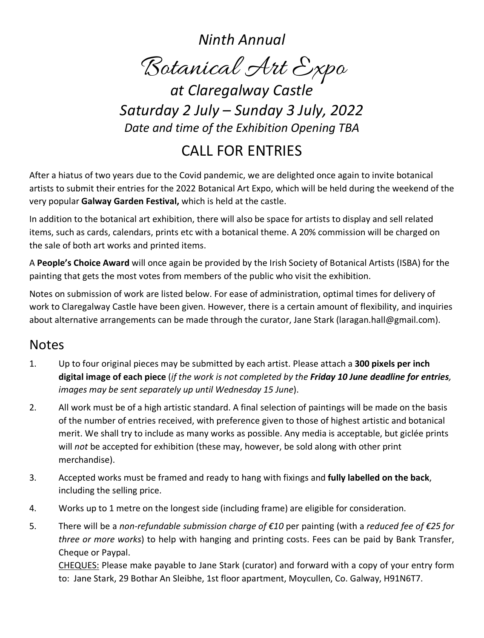*Ninth Annual*

Botanical Art Expo *at Claregalway Castle*

*Saturday 2 July – Sunday 3 July, 2022 Date and time of the Exhibition Opening TBA*

## CALL FOR ENTRIES

After a hiatus of two years due to the Covid pandemic, we are delighted once again to invite botanical artists to submit their entries for the 2022 Botanical Art Expo, which will be held during the weekend of the very popular **Galway Garden Festival,** which is held at the castle.

In addition to the botanical art exhibition, there will also be space for artists to display and sell related items, such as cards, calendars, prints etc with a botanical theme. A 20% commission will be charged on the sale of both art works and printed items.

A **People's Choice Award** will once again be provided by the Irish Society of Botanical Artists (ISBA) for the painting that gets the most votes from members of the public who visit the exhibition.

Notes on submission of work are listed below. For ease of administration, optimal times for delivery of work to Claregalway Castle have been given. However, there is a certain amount of flexibility, and inquiries about alternative arrangements can be made through the curator, Jane Stark (laragan.hall@gmail.com).

#### **Notes**

- 1. Up to four original pieces may be submitted by each artist. Please attach a **300 pixels per inch digital image of each piece** (*if the work is not completed by the Friday 10 June deadline for entries, images may be sent separately up until Wednesday 15 June*).
- 2. All work must be of a high artistic standard. A final selection of paintings will be made on the basis of the number of entries received, with preference given to those of highest artistic and botanical merit. We shall try to include as many works as possible. Any media is acceptable, but giclée prints will *not* be accepted for exhibition (these may, however, be sold along with other print merchandise).
- 3. Accepted works must be framed and ready to hang with fixings and **fully labelled on the back**, including the selling price.
- 4. Works up to 1 metre on the longest side (including frame) are eligible for consideration.
- 5. There will be a *non-refundable submission charge of €10* per painting (with a *reduced fee of €25 for three or more works*) to help with hanging and printing costs. Fees can be paid by Bank Transfer, Cheque or Paypal.

CHEQUES: Please make payable to Jane Stark (curator) and forward with a copy of your entry form to: Jane Stark, 29 Bothar An Sleibhe, 1st floor apartment, Moycullen, Co. Galway, H91N6T7.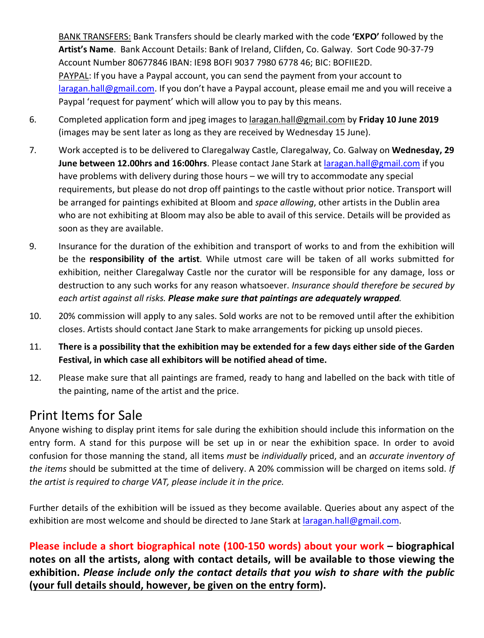BANK TRANSFERS: Bank Transfers should be clearly marked with the code **'EXPO'** followed by the **Artist's Name**. Bank Account Details: Bank of Ireland, Clifden, Co. Galway. Sort Code 90-37-79 Account Number 80677846 IBAN: IE98 BOFI 9037 7980 6778 46; BIC: BOFIIE2D. PAYPAL: If you have a Paypal account, you can send the payment from your account to laragan.hall@gmail.com. If you don't have a Paypal account, please email me and you will receive a Paypal 'request for payment' which will allow you to pay by this means.

- 6. Completed application form and jpeg images to laragan.hall@gmail.com by **Friday 10 June 2019**  (images may be sent later as long as they are received by Wednesday 15 June).
- 7. Work accepted is to be delivered to Claregalway Castle, Claregalway, Co. Galway on **Wednesday, 29 June between 12.00hrs and 16:00hrs**. Please contact Jane Stark at laragan.hall@gmail.com if you have problems with delivery during those hours – we will try to accommodate any special requirements, but please do not drop off paintings to the castle without prior notice. Transport will be arranged for paintings exhibited at Bloom and *space allowing*, other artists in the Dublin area who are not exhibiting at Bloom may also be able to avail of this service. Details will be provided as soon as they are available.
- 9. Insurance for the duration of the exhibition and transport of works to and from the exhibition will be the **responsibility of the artist**. While utmost care will be taken of all works submitted for exhibition, neither Claregalway Castle nor the curator will be responsible for any damage, loss or destruction to any such works for any reason whatsoever. *Insurance should therefore be secured by each artist against all risks. Please make sure that paintings are adequately wrapped.*
- 10. 20% commission will apply to any sales. Sold works are not to be removed until after the exhibition closes. Artists should contact Jane Stark to make arrangements for picking up unsold pieces.
- 11. **There is a possibility that the exhibition may be extended for a few days either side of the Garden Festival, in which case all exhibitors will be notified ahead of time.**
- 12. Please make sure that all paintings are framed, ready to hang and labelled on the back with title of the painting, name of the artist and the price.

### Print Items for Sale

Anyone wishing to display print items for sale during the exhibition should include this information on the entry form. A stand for this purpose will be set up in or near the exhibition space. In order to avoid confusion for those manning the stand, all items *must* be *individually* priced, and an *accurate inventory of the items* should be submitted at the time of delivery. A 20% commission will be charged on items sold. *If the artist is required to charge VAT, please include it in the price.*

Further details of the exhibition will be issued as they become available. Queries about any aspect of the exhibition are most welcome and should be directed to Jane Stark at laragan.hall@gmail.com.

**Please include a short biographical note (100-150 words) about your work – biographical notes on all the artists, along with contact details, will be available to those viewing the exhibition.** *Please include only the contact details that you wish to share with the public* **(your full details should, however, be given on the entry form).**